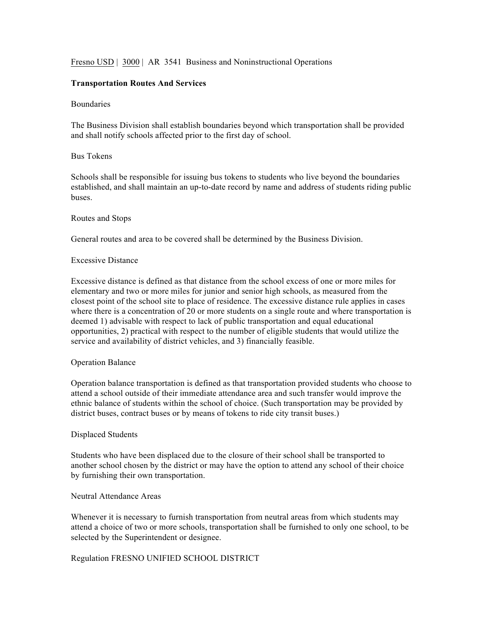# Fresno USD | 3000 | AR 3541 Business and Noninstructional Operations

## **Transportation Routes And Services**

#### Boundaries

The Business Division shall establish boundaries beyond which transportation shall be provided and shall notify schools affected prior to the first day of school.

### Bus Tokens

Schools shall be responsible for issuing bus tokens to students who live beyond the boundaries established, and shall maintain an up-to-date record by name and address of students riding public buses.

#### Routes and Stops

General routes and area to be covered shall be determined by the Business Division.

#### Excessive Distance

Excessive distance is defined as that distance from the school excess of one or more miles for elementary and two or more miles for junior and senior high schools, as measured from the closest point of the school site to place of residence. The excessive distance rule applies in cases where there is a concentration of 20 or more students on a single route and where transportation is deemed 1) advisable with respect to lack of public transportation and equal educational opportunities, 2) practical with respect to the number of eligible students that would utilize the service and availability of district vehicles, and 3) financially feasible.

#### Operation Balance

Operation balance transportation is defined as that transportation provided students who choose to attend a school outside of their immediate attendance area and such transfer would improve the ethnic balance of students within the school of choice. (Such transportation may be provided by district buses, contract buses or by means of tokens to ride city transit buses.)

#### Displaced Students

Students who have been displaced due to the closure of their school shall be transported to another school chosen by the district or may have the option to attend any school of their choice by furnishing their own transportation.

#### Neutral Attendance Areas

Whenever it is necessary to furnish transportation from neutral areas from which students may attend a choice of two or more schools, transportation shall be furnished to only one school, to be selected by the Superintendent or designee.

#### Regulation FRESNO UNIFIED SCHOOL DISTRICT